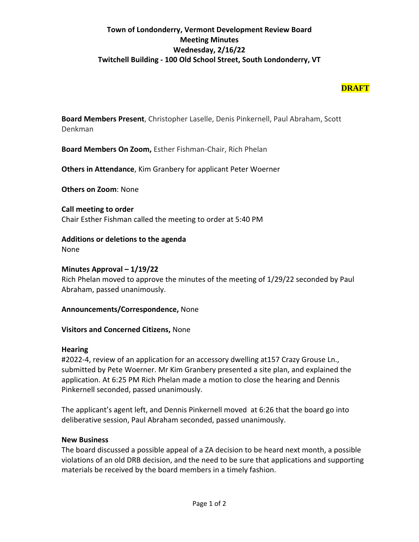## **Town of Londonderry, Vermont Development Review Board Meeting Minutes Wednesday, 2/16/22 Twitchell Building - 100 Old School Street, South Londonderry, VT**

## **DRAFT**

**Board Members Present**, Christopher Laselle, Denis Pinkernell, Paul Abraham, Scott Denkman

**Board Members On Zoom,** Esther Fishman-Chair, Rich Phelan

**Others in Attendance**, Kim Granbery for applicant Peter Woerner

**Others on Zoom**: None

**Call meeting to order**  Chair Esther Fishman called the meeting to order at 5:40 PM

**Additions or deletions to the agenda**  None

**Minutes Approval – 1/19/22** Rich Phelan moved to approve the minutes of the meeting of 1/29/22 seconded by Paul Abraham, passed unanimously.

#### **Announcements/Correspondence,** None

#### **Visitors and Concerned Citizens,** None

#### **Hearing**

#2022-4, review of an application for an accessory dwelling at157 Crazy Grouse Ln., submitted by Pete Woerner. Mr Kim Granbery presented a site plan, and explained the application. At 6:25 PM Rich Phelan made a motion to close the hearing and Dennis Pinkernell seconded, passed unanimously.

The applicant's agent left, and Dennis Pinkernell moved at 6:26 that the board go into deliberative session, Paul Abraham seconded, passed unanimously.

#### **New Business**

The board discussed a possible appeal of a ZA decision to be heard next month, a possible violations of an old DRB decision, and the need to be sure that applications and supporting materials be received by the board members in a timely fashion.